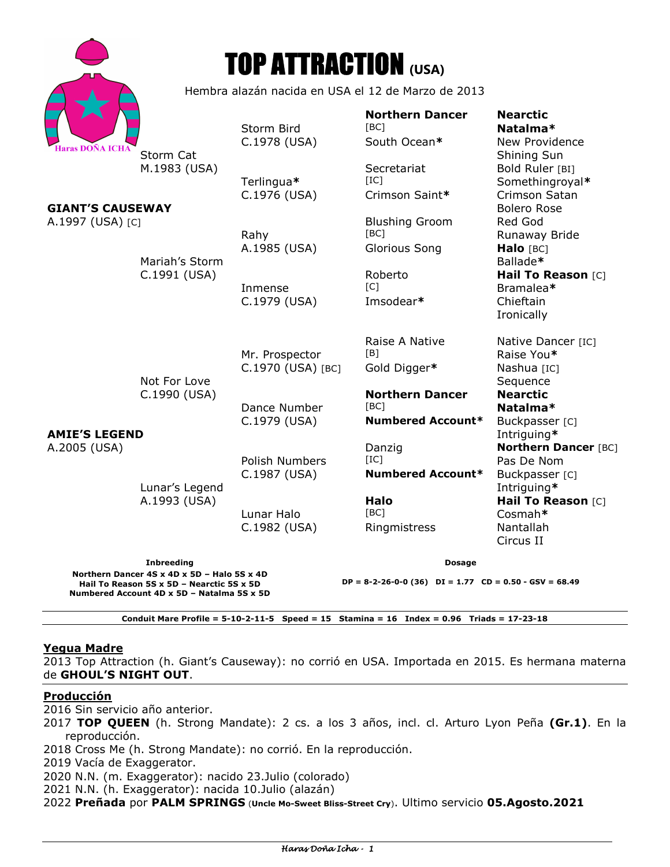|                                                                                                                                                                                                        |                                                                | <b>TOP ATTRACTION (USA)</b>         |                                                            |                                                                            |
|--------------------------------------------------------------------------------------------------------------------------------------------------------------------------------------------------------|----------------------------------------------------------------|-------------------------------------|------------------------------------------------------------|----------------------------------------------------------------------------|
|                                                                                                                                                                                                        | Hembra alazán nacida en USA el 12 de Marzo de 2013             |                                     |                                                            |                                                                            |
| <b>Haras DOÑA ICHA</b>                                                                                                                                                                                 | Storm Cat                                                      | Storm Bird<br>C.1978 (USA)          | <b>Northern Dancer</b><br>[BC]<br>South Ocean*             | <b>Nearctic</b><br>Natalma*<br>New Providence<br>Shining Sun               |
| <b>GIANT'S CAUSEWAY</b>                                                                                                                                                                                | M.1983 (USA)                                                   | Terlingua*<br>C.1976 (USA)          | Secretariat<br>[IC]<br>Crimson Saint*                      | Bold Ruler [BI]<br>Somethingroyal*<br>Crimson Satan<br><b>Bolero Rose</b>  |
| A.1997 (USA) [C]                                                                                                                                                                                       | Mariah's Storm                                                 | Rahy<br>A.1985 (USA)                | <b>Blushing Groom</b><br>[BC]<br>Glorious Song             | Red God<br>Runaway Bride<br>Halo [BC]<br>Ballade*                          |
|                                                                                                                                                                                                        | C.1991 (USA)                                                   | Inmense<br>C.1979 (USA)             | Roberto<br>$\lceil C \rceil$<br>Imsodear*                  | Hail To Reason [C]<br>Bramalea*<br>Chieftain<br>Ironically                 |
| <b>AMIE'S LEGEND</b><br>A.2005 (USA)                                                                                                                                                                   | Not For Love<br>C.1990 (USA)<br>Lunar's Legend<br>A.1993 (USA) | Mr. Prospector<br>C.1970 (USA) [BC] | Raise A Native<br>[ <sub>B</sub> ]<br>Gold Digger*         | Native Dancer [IC]<br>Raise You*<br>Nashua [IC]<br>Sequence                |
|                                                                                                                                                                                                        |                                                                | Dance Number<br>C.1979 (USA)        | <b>Northern Dancer</b><br>[BC]<br><b>Numbered Account*</b> | <b>Nearctic</b><br>Natalma*<br>Buckpasser [C]<br>Intriguing*               |
|                                                                                                                                                                                                        |                                                                | Polish Numbers<br>C.1987 (USA)      | Danzig<br>[IC]<br><b>Numbered Account*</b>                 | <b>Northern Dancer [BC]</b><br>Pas De Nom<br>Buckpasser [C]<br>Intriguing* |
|                                                                                                                                                                                                        |                                                                | Lunar Halo<br>C.1982 (USA)          | Halo<br>[BC]<br>Ringmistress                               | Hail To Reason [C]<br>Cosmah*<br>Nantallah<br>Circus II                    |
| <b>Inbreeding</b>                                                                                                                                                                                      |                                                                |                                     | <b>Dosage</b>                                              |                                                                            |
| Northern Dancer 4S x 4D x 5D - Halo 5S x 4D<br>$DP = 8-2-26-0-0$ (36) $DI = 1.77$ $CD = 0.50 - GSV = 68.49$<br>Hail To Reason 5S x 5D - Nearctic 5S x 5D<br>Numbered Account 4D x 5D - Natalma 5S x 5D |                                                                |                                     |                                                            |                                                                            |

## **Conduit Mare Profile = 5-10-2-11-5 Speed = 15 Stamina = 16 Index = 0.96 Triads = 17-23-18**

# **Yegua Madre**

2013 Top Attraction (h. Giant's Causeway): no corrió en USA. Importada en 2015. Es hermana materna de **GHOUL'S NIGHT OUT**.

## **Producción**

2016 Sin servicio año anterior.

2017 **TOP QUEEN** (h. Strong Mandate): 2 cs. a los 3 años, incl. cl. Arturo Lyon Peña **(Gr.1)**. En la reproducción.

2018 Cross Me (h. Strong Mandate): no corrió. En la reproducción.

2019 Vacía de Exaggerator.

2020 N.N. (m. Exaggerator): nacido 23.Julio (colorado)

2021 N.N. (h. Exaggerator): nacida 10.Julio (alazán)

2022 **Preñada** por **PALM SPRINGS** (**Uncle Mo-Sweet Bliss-Street Cry**). Ultimo servicio **05.Agosto.2021**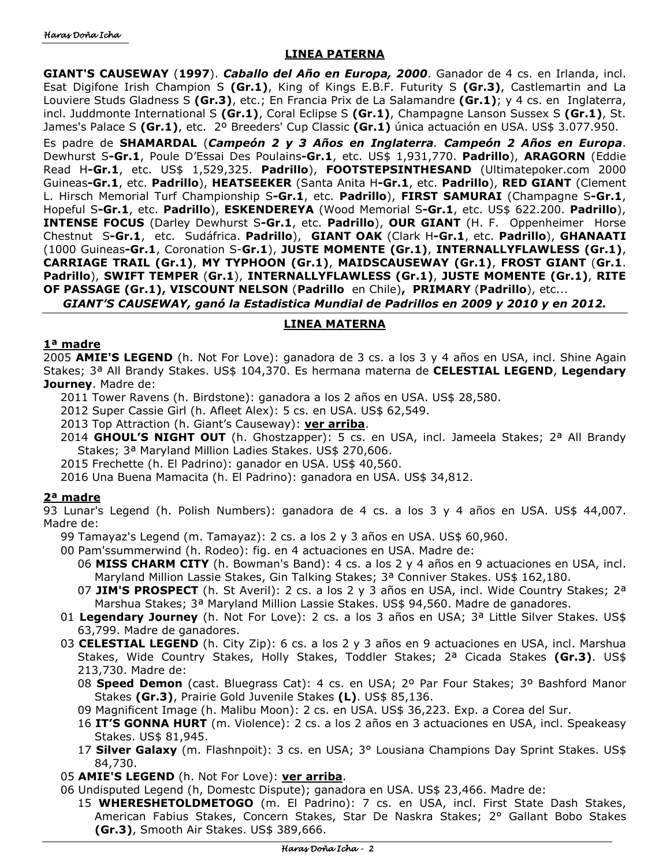# **LINEA PATERNA**

**GIANT'S CAUSEWAY** (**1997**). *Caballo del Año en Europa, 2000*. Ganador de 4 cs. en Irlanda, incl. Esat Digifone Irish Champion S **(Gr.1)**, King of Kings E.B.F. Futurity S **(Gr.3)**, Castlemartin and La Louviere Studs Gladness S **(Gr.3)**, etc.; En Francia Prix de La Salamandre **(Gr.1)**; y 4 cs. en Inglaterra, incl. Juddmonte International S **(Gr.1)**, Coral Eclipse S **(Gr.1)**, Champagne Lanson Sussex S **(Gr.1)**, St. James's Palace S **(Gr.1)**, etc. 2º Breeders' Cup Classic **(Gr.1)** única actuación en USA. US\$ 3.077.950.

Es padre de **SHAMARDAL** (*Campeón 2 y 3 Años en Inglaterra. Campeón 2 Años en Europa*. Dewhurst S**-Gr.1**, Poule D'Essai Des Poulains**-Gr.1**, etc. US\$ 1,931,770. **Padrillo**), **ARAGORN** (Eddie Read H**-Gr.1**, etc. US\$ 1,529,325. **Padrillo**), **FOOTSTEPSINTHESAND** (Ultimatepoker.com 2000 Guineas**-Gr.1**, etc. **Padrillo**), **HEATSEEKER** (Santa Anita H**-Gr.1**, etc. **Padrillo**), **RED GIANT** (Clement L. Hirsch Memorial Turf Championship S**-Gr.1**, etc. **Padrillo**), **FIRST SAMURAI** (Champagne S**-Gr.1**, Hopeful S**-Gr.1**, etc. **Padrillo**), **ESKENDEREYA** (Wood Memorial S**-Gr.1**, etc. US\$ 622.200. **Padrillo**), **INTENSE FOCUS** (Darley Dewhurst S**-Gr.1**, etc. **Padrillo**), **OUR GIANT** (H. F. Oppenheimer Horse Chestnut S**-Gr.1**, etc. Sudáfrica. **Padrillo**), **GIANT OAK** (Clark H**-Gr.1**, etc. **Padrillo**), **GHANAATI** (1000 Guineas**-Gr.1**, Coronation S-**Gr.1**), **JUSTE MOMENTE (Gr.1)**, **INTERNALLYFLAWLESS (Gr.1)**, **CARRIAGE TRAIL (Gr.1)**, **MY TYPHOON (Gr.1)**, **MAIDSCAUSEWAY (Gr.1)**, **FROST GIANT** (**Gr.1**. **Padrillo**), **SWIFT TEMPER** (**Gr.1**), **INTERNALLYFLAWLESS (Gr.1)**, **JUSTE MOMENTE (Gr.1)**, **RITE OF PASSAGE (Gr.1), VISCOUNT NELSON** (**Padrillo** en Chile)**, PRIMARY** (**Padrillo**), etc...

*GIANT'S CAUSEWAY, ganó la Estadistica Mundial de Padrillos en 2009 y 2010 y en 2012.* 

# **LINEA MATERNA**

## **1ª madre**

2005 **AMIE'S LEGEND** (h. Not For Love): ganadora de 3 cs. a los 3 y 4 años en USA, incl. Shine Again Stakes; 3ª All Brandy Stakes. US\$ 104,370. Es hermana materna de **CELESTIAL LEGEND**, **Legendary Journey**. Madre de:

2011 Tower Ravens (h. Birdstone): ganadora a los 2 años en USA. US\$ 28,580.

2012 Super Cassie Girl (h. Afleet Alex): 5 cs. en USA. US\$ 62,549.

- 2013 Top Attraction (h. Giant's Causeway): **ver arriba**.
- 2014 **GHOUL'S NIGHT OUT** (h. Ghostzapper): 5 cs. en USA, incl. Jameela Stakes; 2ª All Brandy Stakes; 3ª Maryland Million Ladies Stakes. US\$ 270,606.
- 2015 Frechette (h. El Padrino): ganador en USA. US\$ 40,560.

2016 Una Buena Mamacita (h. El Padrino): ganadora en USA. US\$ 34,812.

# **2ª madre**

93 Lunar's Legend (h. Polish Numbers): ganadora de 4 cs. a los 3 y 4 años en USA. US\$ 44,007. Madre de:

- 99 Tamayaz's Legend (m. Tamayaz): 2 cs. a los 2 y 3 años en USA. US\$ 60,960.
- 00 Pam'ssummerwind (h. Rodeo): fig. en 4 actuaciones en USA. Madre de:
	- 06 **MISS CHARM CITY** (h. Bowman's Band): 4 cs. a los 2 y 4 años en 9 actuaciones en USA, incl. Maryland Million Lassie Stakes, Gin Talking Stakes; 3ª Conniver Stakes. US\$ 162,180.
	- 07 **JIM'S PROSPECT** (h. St Averil): 2 cs. a los 2 y 3 años en USA, incl. Wide Country Stakes; 2ª Marshua Stakes; 3ª Maryland Million Lassie Stakes. US\$ 94,560. Madre de ganadores.
- 01 **Legendary Journey** (h. Not For Love): 2 cs. a los 3 años en USA; 3ª Little Silver Stakes. US\$ 63,799. Madre de ganadores.
- 03 **CELESTIAL LEGEND** (h. City Zip): 6 cs. a los 2 y 3 años en 9 actuaciones en USA, incl. Marshua Stakes, Wide Country Stakes, Holly Stakes, Toddler Stakes; 2ª Cicada Stakes **(Gr.3)**. US\$ 213,730. Madre de:
	- 08 **Speed Demon** (cast. Bluegrass Cat): 4 cs. en USA; 2º Par Four Stakes; 3º Bashford Manor Stakes **(Gr.3)**, Prairie Gold Juvenile Stakes **(L)**. US\$ 85,136.
	- 09 Magnificent Image (h. Malibu Moon): 2 cs. en USA. US\$ 36,223. Exp. a Corea del Sur.
	- 16 **IT'S GONNA HURT** (m. Violence): 2 cs. a los 2 años en 3 actuaciones en USA, incl. Speakeasy Stakes. US\$ 81,945.
	- 17 **Silver Galaxy** (m. Flashnpoit): 3 cs. en USA; 3° Lousiana Champions Day Sprint Stakes. US\$ 84,730.
- 05 **AMIE'S LEGEND** (h. Not For Love): **ver arriba**.
- 06 Undisputed Legend (h, Domestc Dispute); ganadora en USA. US\$ 23,466. Madre de:
	- 15 **WHERESHETOLDMETOGO** (m. El Padrino): 7 cs. en USA, incl. First State Dash Stakes, American Fabius Stakes, Concern Stakes, Star De Naskra Stakes; 2° Gallant Bobo Stakes **(Gr.3)**, Smooth Air Stakes. US\$ 389,666.